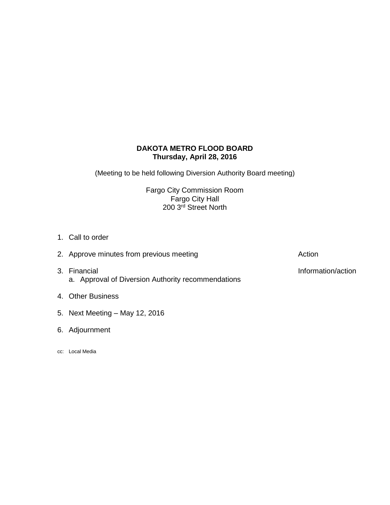# **DAKOTA METRO FLOOD BOARD Thursday, April 28, 2016**

(Meeting to be held following Diversion Authority Board meeting)

Fargo City Commission Room Fargo City Hall 200 3<sup>rd</sup> Street North

- 1. Call to order
- 3. Financial **Information/action** a. Approval of Diversion Authority recommendations
- 4. Other Business
- 5. Next Meeting May 12, 2016
- 6. Adjournment
- cc: Local Media

2. Approve minutes from previous meeting and action action Action